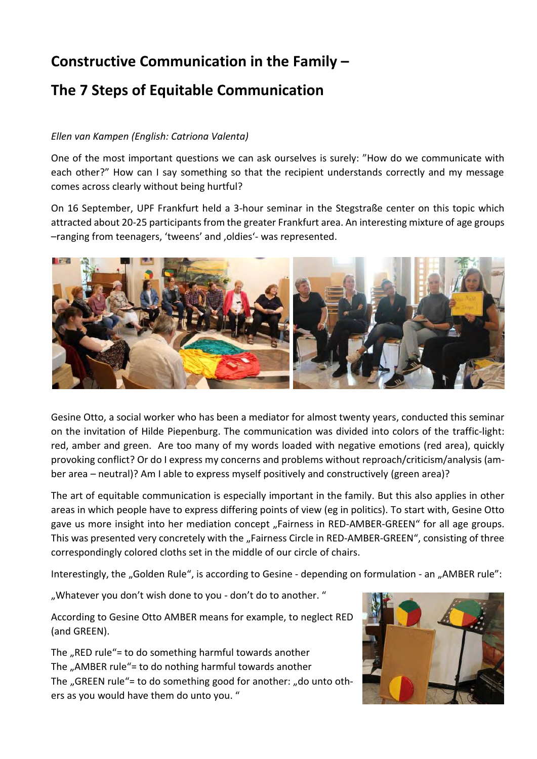## **Constructive Communication in the Family –**

## **The 7 Steps of Equitable Communication**

## *Ellen van Kampen (English: Catriona Valenta)*

One of the most important questions we can ask ourselves is surely: "How do we communicate with each other?" How can I say something so that the recipient understands correctly and my message comes across clearly without being hurtful?

On 16 September, UPF Frankfurt held a 3-hour seminar in the Stegstraße center on this topic which attracted about 20-25 participants from the greater Frankfurt area. An interesting mixture of age groups -ranging from teenagers, 'tweens' and , oldies'- was represented.



Gesine Otto, a social worker who has been a mediator for almost twenty years, conducted this seminar on the invitation of Hilde Piepenburg. The communication was divided into colors of the traffic-light: red, amber and green. Are too many of my words loaded with negative emotions (red area), quickly provoking conflict? Or do I express my concerns and problems without reproach/criticism/analysis (amber area – neutral)? Am I able to express myself positively and constructively (green area)?

The art of equitable communication is especially important in the family. But this also applies in other areas in which people have to express differing points of view (eg in politics). To start with, Gesine Otto gave us more insight into her mediation concept "Fairness in RED-AMBER-GREEN" for all age groups. This was presented very concretely with the "Fairness Circle in RED-AMBER-GREEN", consisting of three correspondingly colored cloths set in the middle of our circle of chairs.

Interestingly, the "Golden Rule", is according to Gesine - depending on formulation - an "AMBER rule":

"Whatever you don't wish done to you - don't do to another. "

According to Gesine Otto AMBER means for example, to neglect RED (and GREEN).

The  $n$ RED rule"= to do something harmful towards another The "AMBER rule"= to do nothing harmful towards another The "GREEN rule"= to do something good for another: "do unto others as you would have them do unto you. "